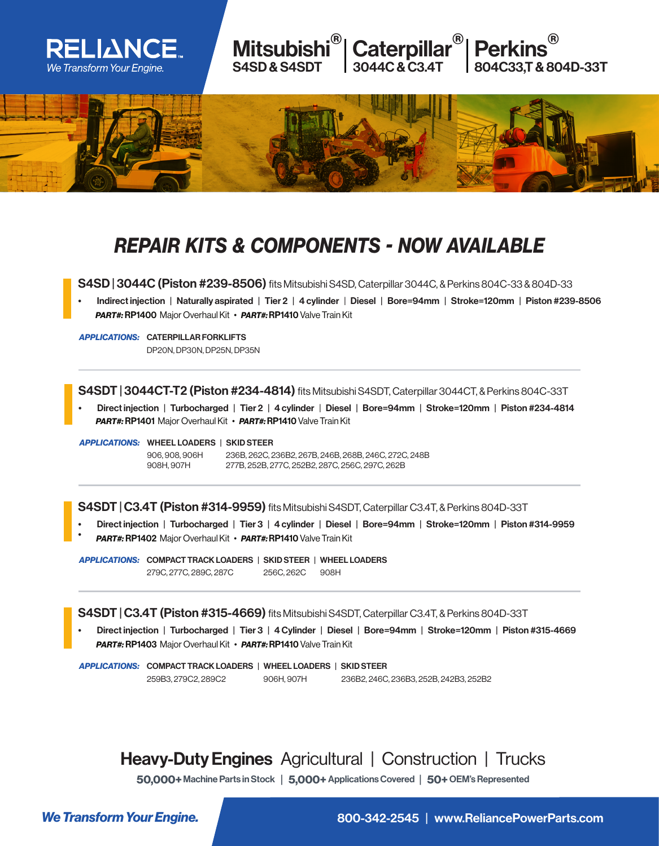

## *REPAIR KITS & COMPONENTS - NOW AVAILABLE*

S4SD | 3044C (Piston #239-8506) fits Mitsubishi S4SD, Caterpillar 3044C, & Perkins 804C-33 & 804D-33

• Indirect injection | Naturally aspirated | Tier 2 | 4 cylinder | Diesel | Bore=94mm | Stroke=120mm | Piston #239-8506 *PART#:* RP1400 Major Overhaul Kit • *PART#:* RP1410 Valve Train Kit

*APPLICATIONS:* CATERPILLAR FORKLIFTS DP20N, DP30N, DP25N, DP35N

S4SDT | 3044CT-T2 (Piston #234-4814) fits Mitsubishi S4SDT, Caterpillar 3044CT, & Perkins 804C-33T

• Direct injection | Turbocharged | Tier 2 | 4 cylinder | Diesel | Bore=94mm | Stroke=120mm | Piston #234-4814 *PART#:* RP1401 Major Overhaul Kit • *PART#:* RP1410 Valve Train Kit

*APPLICATIONS:* WHEEL LOADERS | SKID STEER

908H, 907H

906, 908, 906H 236B, 262C, 236B2, 267B, 246B, 268B, 246C, 272C, 248B 277B, 252B, 277C, 252B2, 287C, 256C, 297C, 262B

S4SDT | C3.4T (Piston #314-9959) fits Mitsubishi S4SDT, Caterpillar C3.4T, & Perkins 804D-33T

- Direct injection | Turbocharged | Tier 3 | 4 cylinder | Diesel | Bore=94mm | Stroke=120mm | Piston #314-9959
- *PART#:* RP1402 Major Overhaul Kit • *PART#:* RP1410 Valve Train Kit

*APPLICATIONS:* COMPACT TRACK LOADERS | SKID STEER | WHEEL LOADERS 279C, 277C, 289C, 287C 256C, 262C 908H

S4SDT | C3.4T (Piston #315-4669) fits Mitsubishi S4SDT, Caterpillar C3.4T, & Perkins 804D-33T

• Direct injection | Turbocharged | Tier 3 | 4 Cylinder | Diesel | Bore=94mm | Stroke=120mm | Piston #315-4669 *PART#:* RP1403 Major Overhaul Kit • *PART#:* RP1410 Valve Train Kit

*APPLICATIONS:* COMPACT TRACK LOADERS | WHEEL LOADERS | SKID STEER 259B3, 279C2, 289C2 906H, 907H 236B2, 246C, 236B3, 252B, 242B3, 252B2

## Heavy-Duty Engines Agricultural | Construction | Trucks

50,000+ Machine Parts in Stock | 5,000+ Applications Covered | 50+ OEM's Represented

**We Transform Your Engine.** And the state of the state 800-342-2545 | www.ReliancePowerParts.com